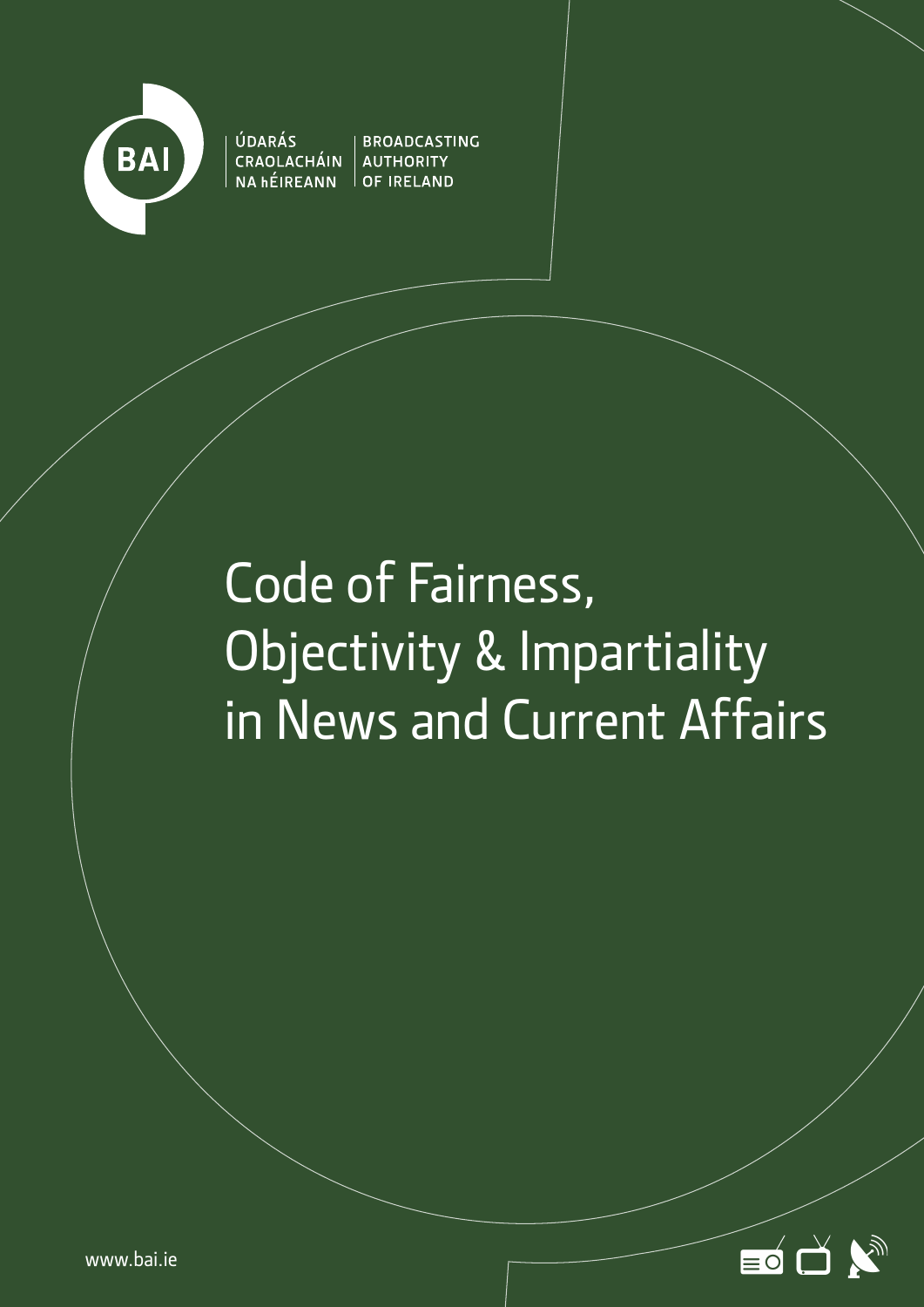

ÚDARÁS **BROADCASTING** CRAOLACHÁIN AUTHORITY  $NA$ hÉIREANN OF IRELAND

# Code of Fairness, Objectivity & Impartiality in News and Current Affairs



www.bai.ie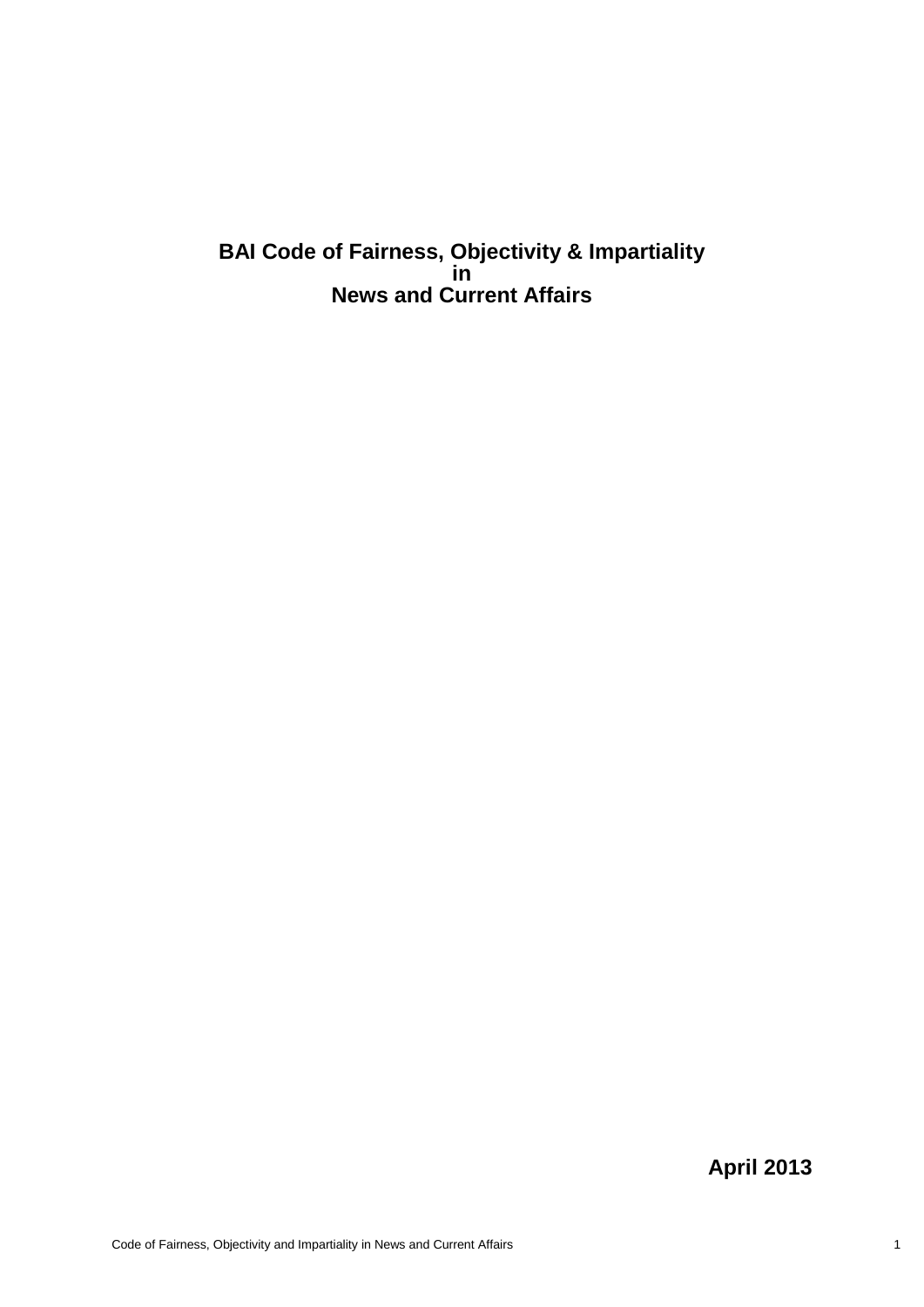## **BAI Code of Fairness, Objectivity & Impartiality in News and Current Affairs**

**April 2013**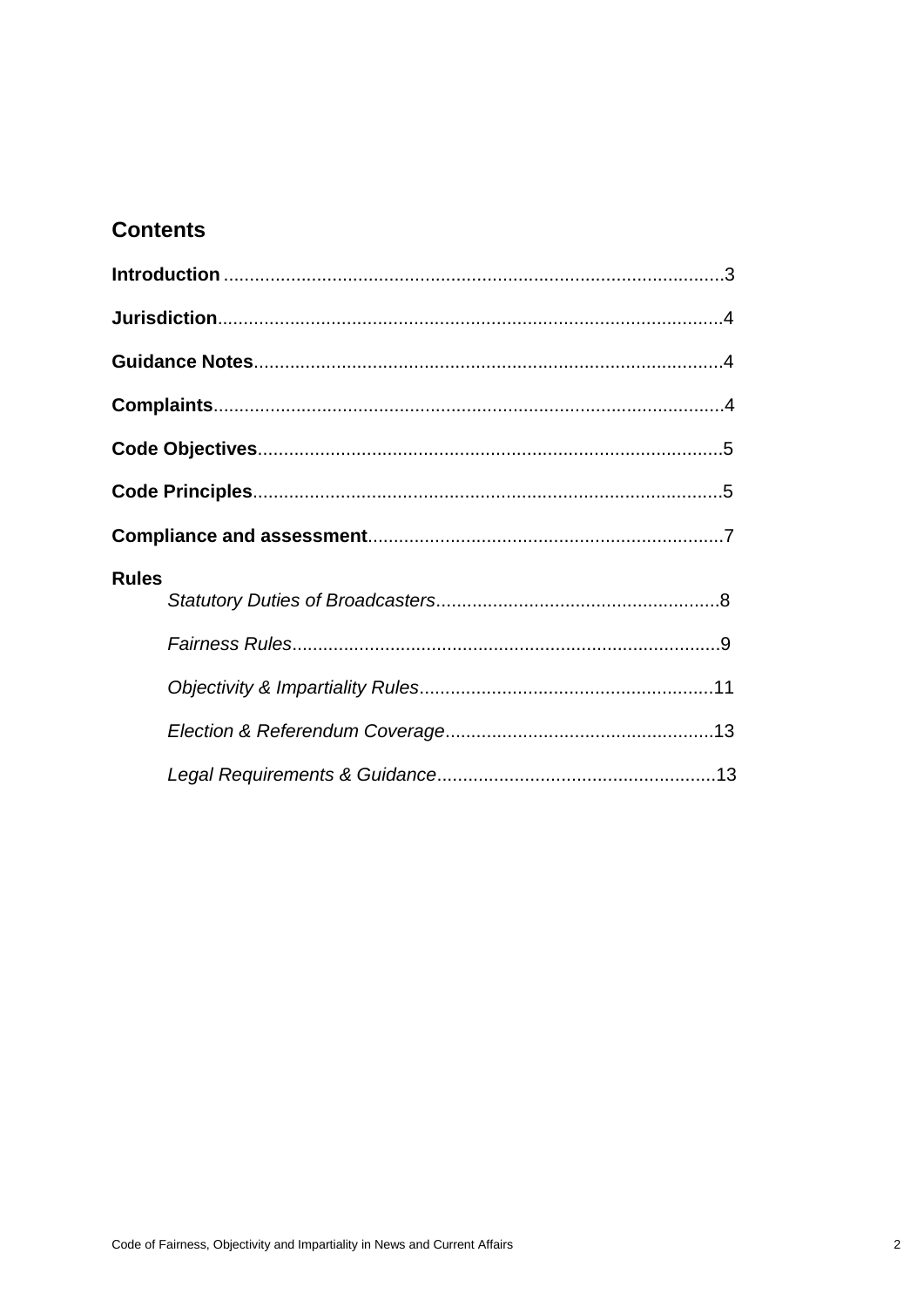## **Contents**

| <b>Rules</b> |
|--------------|
|              |
|              |
|              |
|              |
|              |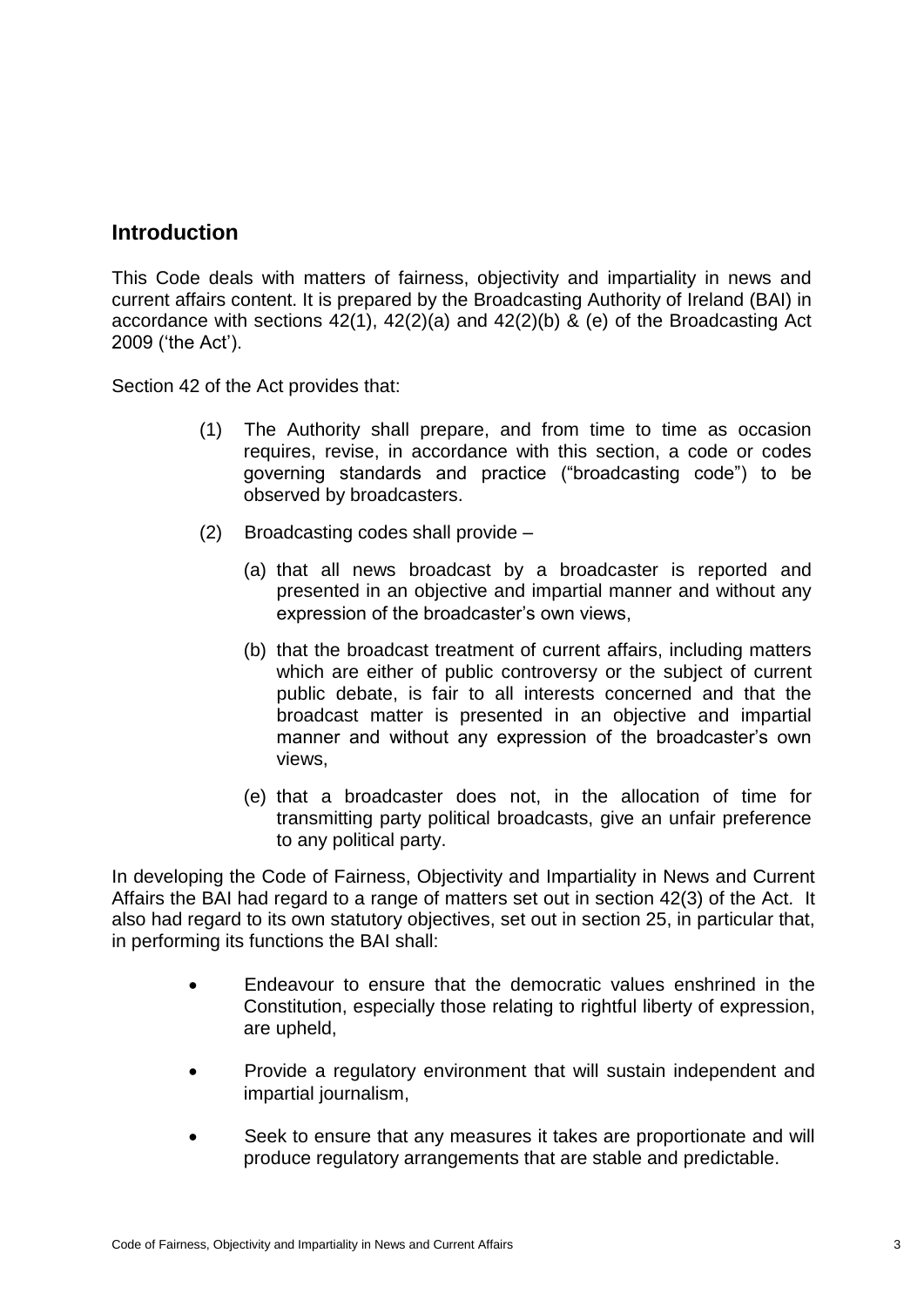## **Introduction**

This Code deals with matters of fairness, objectivity and impartiality in news and current affairs content. It is prepared by the Broadcasting Authority of Ireland (BAI) in accordance with sections 42(1), 42(2)(a) and 42(2)(b) & (e) of the Broadcasting Act 2009 ('the Act').

Section 42 of the Act provides that:

- (1) The Authority shall prepare, and from time to time as occasion requires, revise, in accordance with this section, a code or codes governing standards and practice ("broadcasting code") to be observed by broadcasters.
- (2) Broadcasting codes shall provide
	- (a) that all news broadcast by a broadcaster is reported and presented in an objective and impartial manner and without any expression of the broadcaster's own views,
	- (b) that the broadcast treatment of current affairs, including matters which are either of public controversy or the subject of current public debate, is fair to all interests concerned and that the broadcast matter is presented in an objective and impartial manner and without any expression of the broadcaster's own views,
	- (e) that a broadcaster does not, in the allocation of time for transmitting party political broadcasts, give an unfair preference to any political party.

In developing the Code of Fairness, Objectivity and Impartiality in News and Current Affairs the BAI had regard to a range of matters set out in section 42(3) of the Act. It also had regard to its own statutory objectives, set out in section 25, in particular that, in performing its functions the BAI shall:

- Endeavour to ensure that the democratic values enshrined in the Constitution, especially those relating to rightful liberty of expression, are upheld,
- Provide a regulatory environment that will sustain independent and impartial journalism,
- Seek to ensure that any measures it takes are proportionate and will produce regulatory arrangements that are stable and predictable.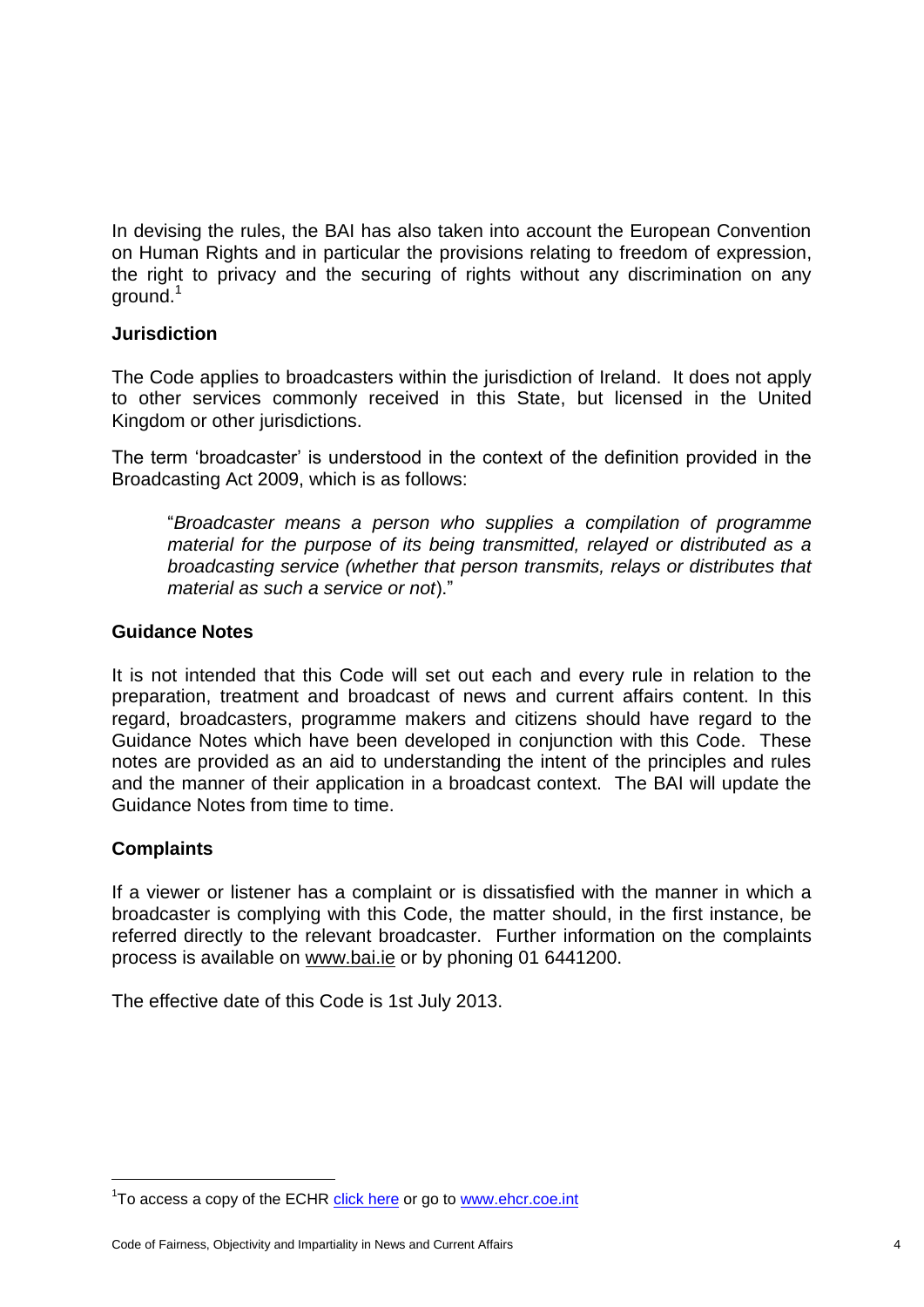In devising the rules, the BAI has also taken into account the European Convention on Human Rights and in particular the provisions relating to freedom of expression, the right to privacy and the securing of rights without any discrimination on any ground.<sup>1</sup>

## **Jurisdiction**

The Code applies to broadcasters within the jurisdiction of Ireland. It does not apply to other services commonly received in this State, but licensed in the United Kingdom or other jurisdictions.

The term 'broadcaster' is understood in the context of the definition provided in the Broadcasting Act 2009, which is as follows:

―*Broadcaster means a person who supplies a compilation of programme material for the purpose of its being transmitted, relayed or distributed as a broadcasting service (whether that person transmits, relays or distributes that material as such a service or not*).‖

#### **Guidance Notes**

It is not intended that this Code will set out each and every rule in relation to the preparation, treatment and broadcast of news and current affairs content. In this regard, broadcasters, programme makers and citizens should have regard to the Guidance Notes which have been developed in conjunction with this Code. These notes are provided as an aid to understanding the intent of the principles and rules and the manner of their application in a broadcast context. The BAI will update the Guidance Notes from time to time.

## **Complaints**

-

If a viewer or listener has a complaint or is dissatisfied with the manner in which a broadcaster is complying with this Code, the matter should, in the first instance, be referred directly to the relevant broadcaster. Further information on the complaints process is available on [www.bai.ie](http://www.bai.ie/) or by phoning 01 6441200.

The effective date of this Code is 1st July 2013.

<sup>&</sup>lt;sup>1</sup>To access a copy of the ECHR **click here** or go to [www.ehcr.coe.int](http://www.ehcr.coe.int/)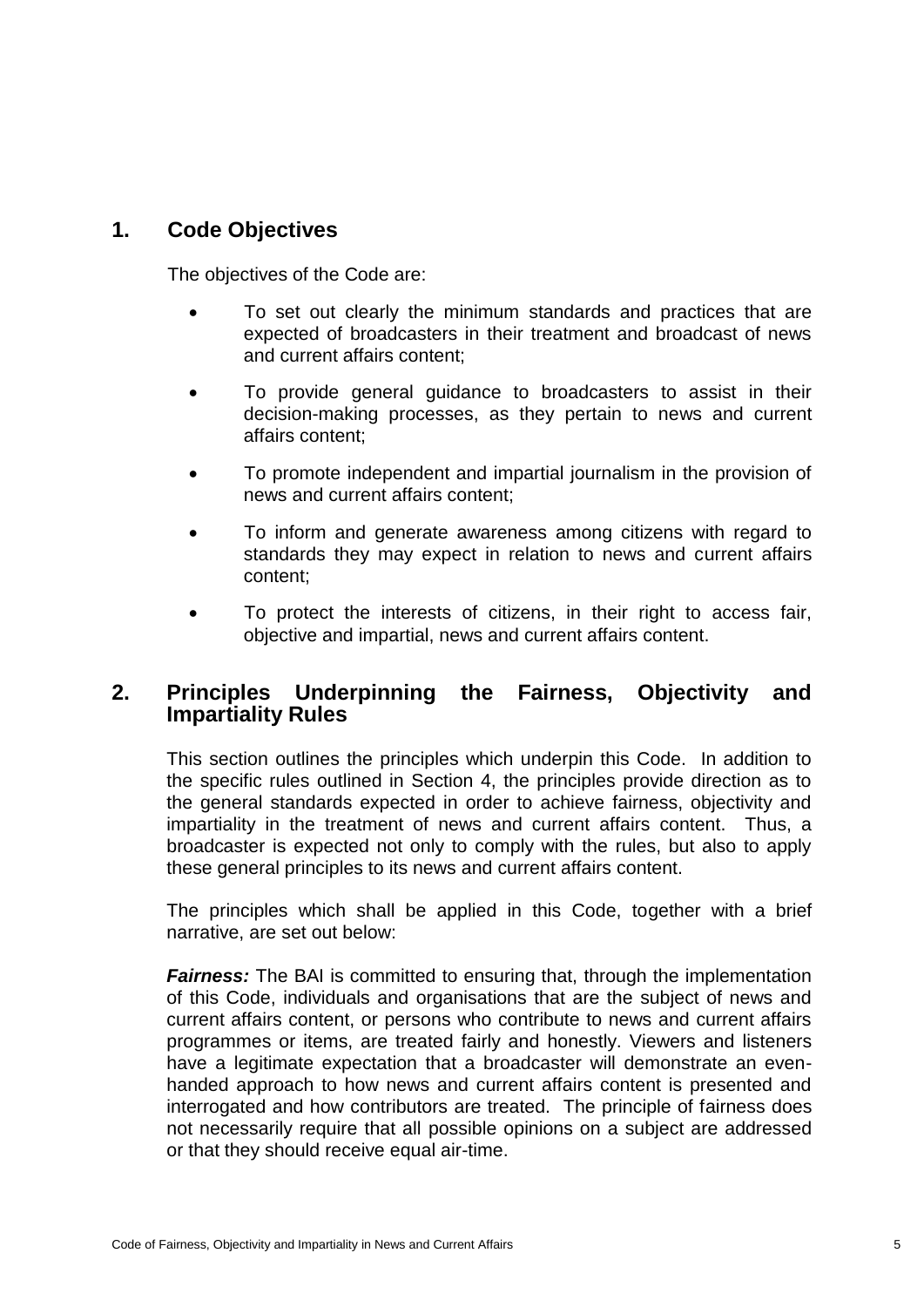## **1. Code Objectives**

The objectives of the Code are:

- To set out clearly the minimum standards and practices that are expected of broadcasters in their treatment and broadcast of news and current affairs content;
- To provide general guidance to broadcasters to assist in their decision-making processes, as they pertain to news and current affairs content;
- To promote independent and impartial journalism in the provision of news and current affairs content;
- To inform and generate awareness among citizens with regard to standards they may expect in relation to news and current affairs content;
- To protect the interests of citizens, in their right to access fair, objective and impartial, news and current affairs content.

## **2. Principles Underpinning the Fairness, Objectivity and Impartiality Rules**

This section outlines the principles which underpin this Code. In addition to the specific rules outlined in Section 4, the principles provide direction as to the general standards expected in order to achieve fairness, objectivity and impartiality in the treatment of news and current affairs content. Thus, a broadcaster is expected not only to comply with the rules, but also to apply these general principles to its news and current affairs content.

The principles which shall be applied in this Code, together with a brief narrative, are set out below:

*Fairness:* The BAI is committed to ensuring that, through the implementation of this Code, individuals and organisations that are the subject of news and current affairs content, or persons who contribute to news and current affairs programmes or items, are treated fairly and honestly. Viewers and listeners have a legitimate expectation that a broadcaster will demonstrate an evenhanded approach to how news and current affairs content is presented and interrogated and how contributors are treated. The principle of fairness does not necessarily require that all possible opinions on a subject are addressed or that they should receive equal air-time.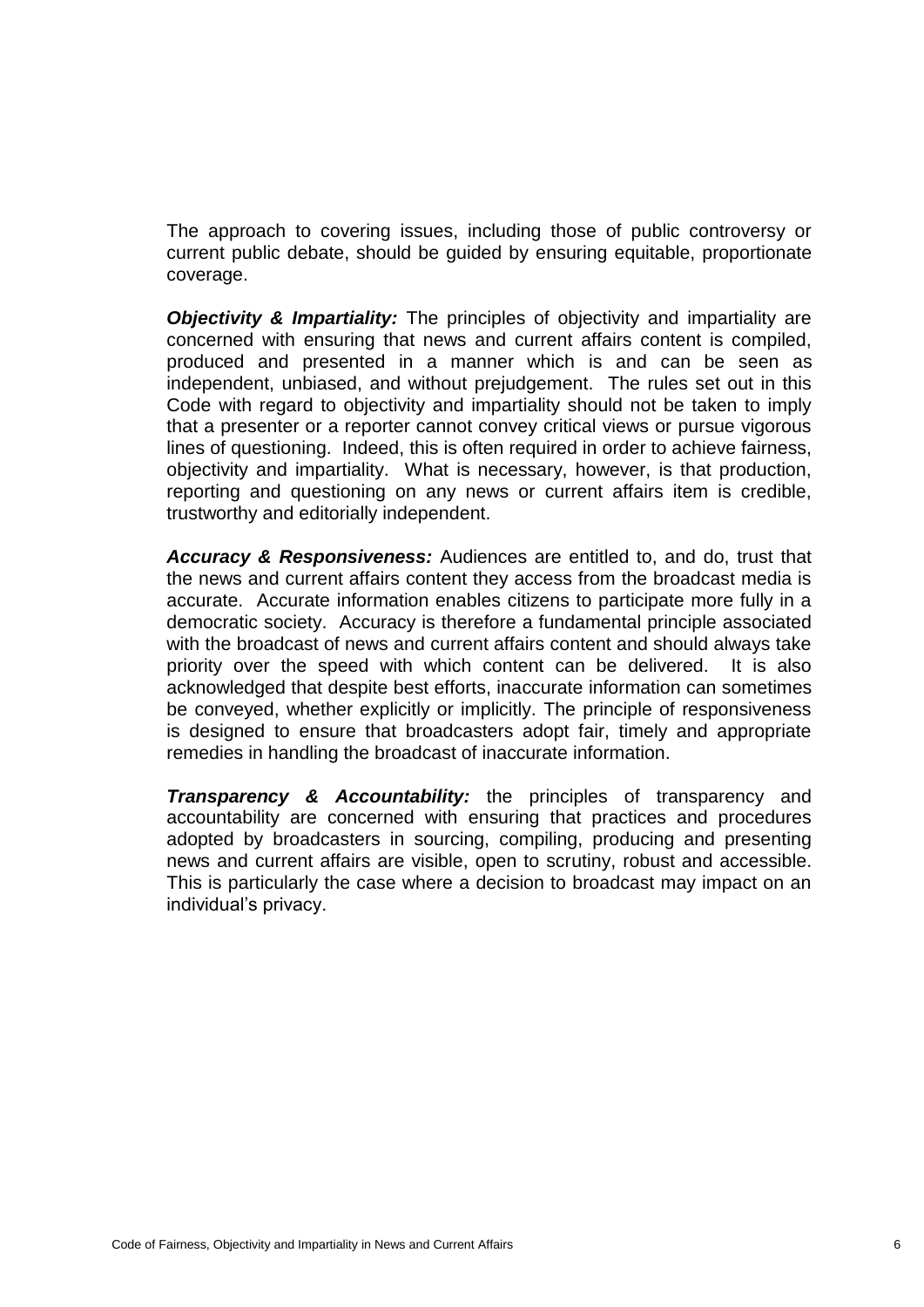The approach to covering issues, including those of public controversy or current public debate, should be guided by ensuring equitable, proportionate coverage.

*Objectivity & Impartiality:* The principles of objectivity and impartiality are concerned with ensuring that news and current affairs content is compiled, produced and presented in a manner which is and can be seen as independent, unbiased, and without prejudgement. The rules set out in this Code with regard to objectivity and impartiality should not be taken to imply that a presenter or a reporter cannot convey critical views or pursue vigorous lines of questioning. Indeed, this is often required in order to achieve fairness, objectivity and impartiality. What is necessary, however, is that production, reporting and questioning on any news or current affairs item is credible, trustworthy and editorially independent.

*Accuracy & Responsiveness:* Audiences are entitled to, and do, trust that the news and current affairs content they access from the broadcast media is accurate. Accurate information enables citizens to participate more fully in a democratic society. Accuracy is therefore a fundamental principle associated with the broadcast of news and current affairs content and should always take priority over the speed with which content can be delivered. It is also acknowledged that despite best efforts, inaccurate information can sometimes be conveyed, whether explicitly or implicitly. The principle of responsiveness is designed to ensure that broadcasters adopt fair, timely and appropriate remedies in handling the broadcast of inaccurate information.

*Transparency & Accountability:* the principles of transparency and accountability are concerned with ensuring that practices and procedures adopted by broadcasters in sourcing, compiling, producing and presenting news and current affairs are visible, open to scrutiny, robust and accessible. This is particularly the case where a decision to broadcast may impact on an individual's privacy.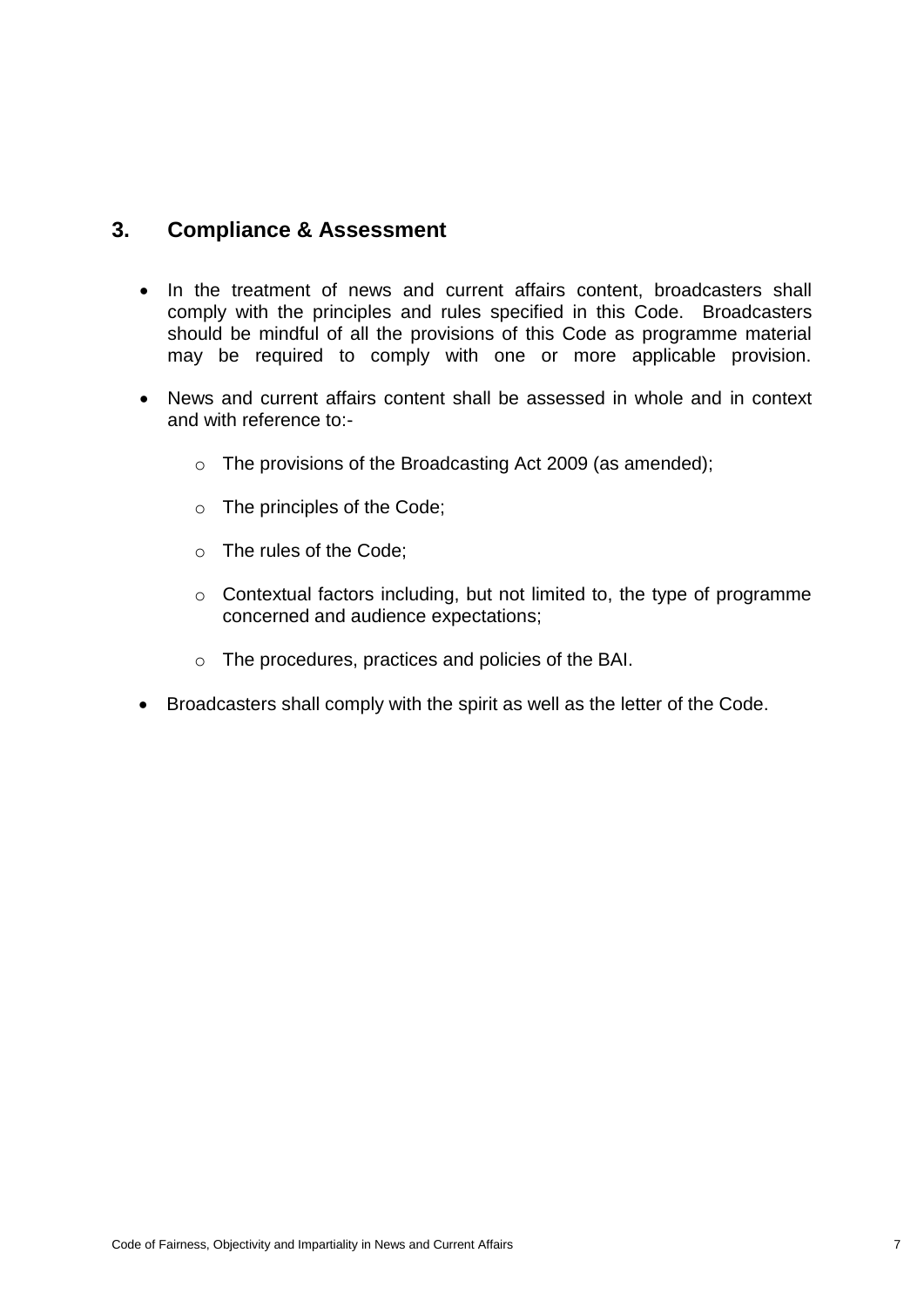## **3. Compliance & Assessment**

- In the treatment of news and current affairs content, broadcasters shall comply with the principles and rules specified in this Code. Broadcasters should be mindful of all the provisions of this Code as programme material may be required to comply with one or more applicable provision.
- News and current affairs content shall be assessed in whole and in context and with reference to:
	- o The provisions of the Broadcasting Act 2009 (as amended);
	- o The principles of the Code;
	- o The rules of the Code;
	- o Contextual factors including, but not limited to, the type of programme concerned and audience expectations;
	- o The procedures, practices and policies of the BAI.
- Broadcasters shall comply with the spirit as well as the letter of the Code.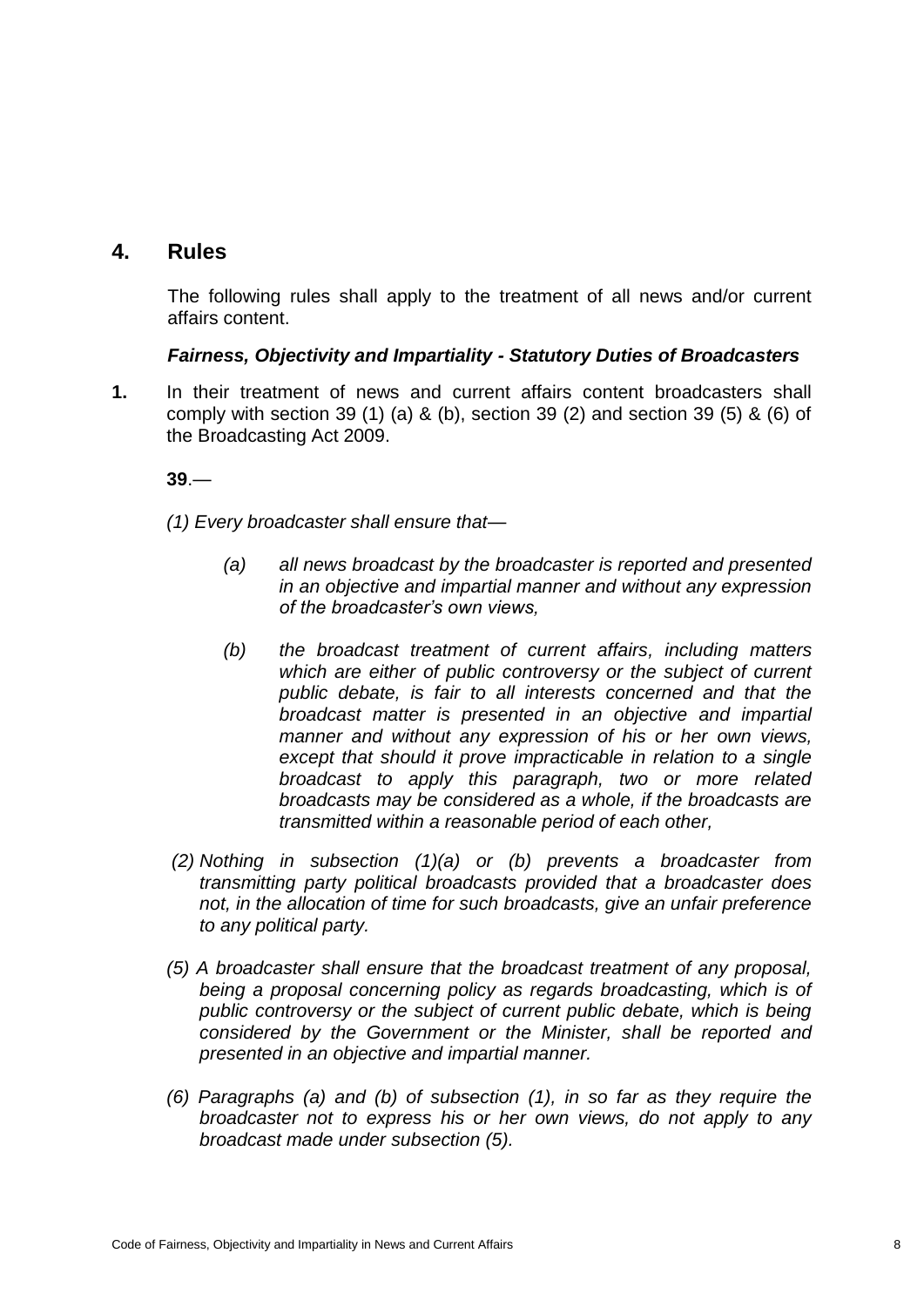## **4. Rules**

The following rules shall apply to the treatment of all news and/or current affairs content.

## *Fairness, Objectivity and Impartiality - Statutory Duties of Broadcasters*

**1.** In their treatment of news and current affairs content broadcasters shall comply with section 39 (1) (a) & (b), section 39 (2) and section 39 (5) & (6) of the Broadcasting Act 2009.

**39**.—

*(1) Every broadcaster shall ensure that—*

- *(a) all news broadcast by the broadcaster is reported and presented in an objective and impartial manner and without any expression of the broadcaster's own views,*
- *(b) the broadcast treatment of current affairs, including matters which are either of public controversy or the subject of current public debate, is fair to all interests concerned and that the broadcast matter is presented in an objective and impartial manner and without any expression of his or her own views, except that should it prove impracticable in relation to a single broadcast to apply this paragraph, two or more related broadcasts may be considered as a whole, if the broadcasts are transmitted within a reasonable period of each other,*
- *(2) Nothing in subsection (1)(a) or (b) prevents a broadcaster from transmitting party political broadcasts provided that a broadcaster does not, in the allocation of time for such broadcasts, give an unfair preference to any political party.*
- *(5) A broadcaster shall ensure that the broadcast treatment of any proposal, being a proposal concerning policy as regards broadcasting, which is of public controversy or the subject of current public debate, which is being considered by the Government or the Minister, shall be reported and presented in an objective and impartial manner.*
- *(6) Paragraphs (a) and (b) of subsection (1), in so far as they require the broadcaster not to express his or her own views, do not apply to any broadcast made under subsection (5).*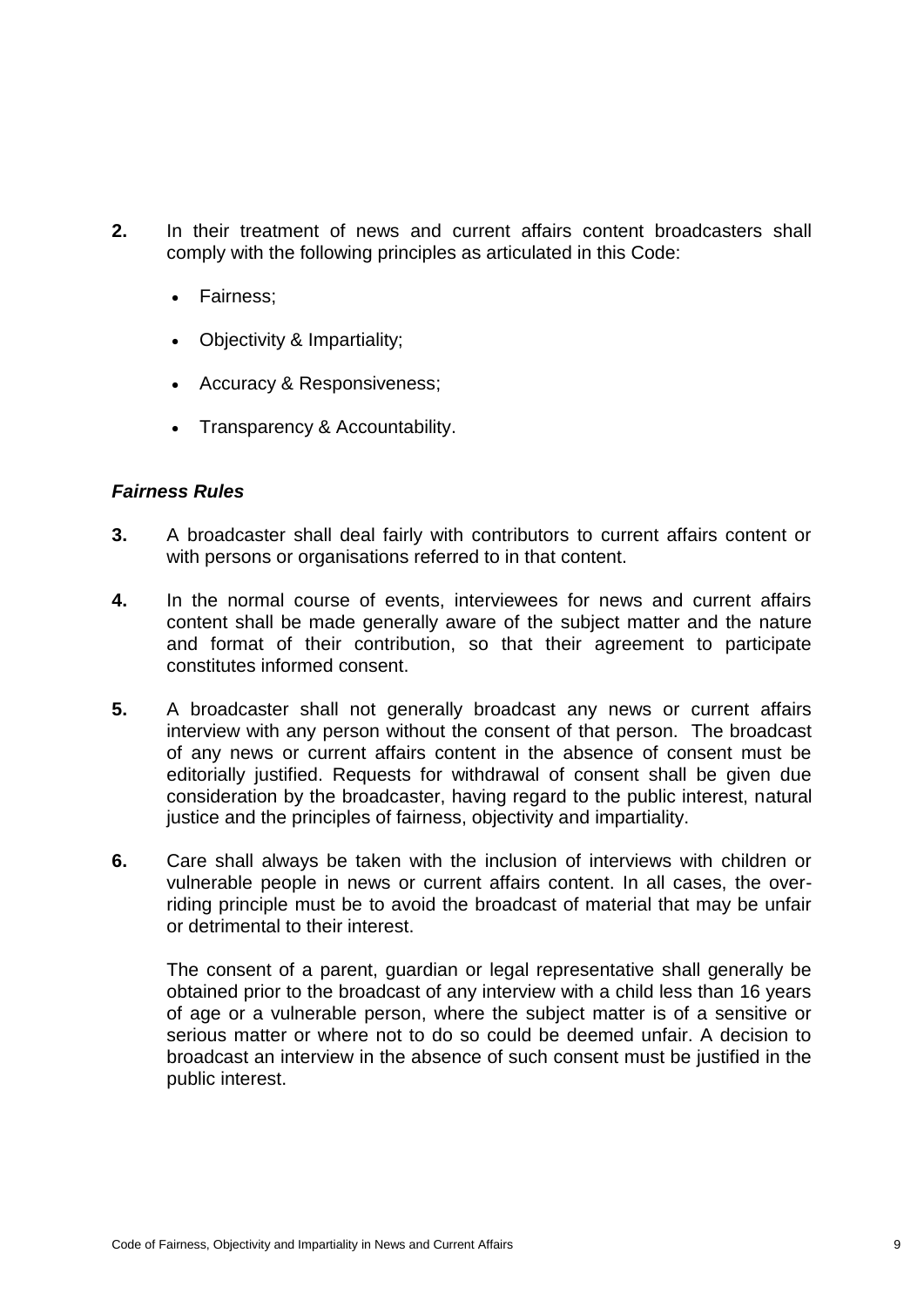- **2.** In their treatment of news and current affairs content broadcasters shall comply with the following principles as articulated in this Code:
	- Fairness;
	- Objectivity & Impartiality;
	- Accuracy & Responsiveness;
	- Transparency & Accountability.

## *Fairness Rules*

- **3.** A broadcaster shall deal fairly with contributors to current affairs content or with persons or organisations referred to in that content.
- **4.** In the normal course of events, interviewees for news and current affairs content shall be made generally aware of the subject matter and the nature and format of their contribution, so that their agreement to participate constitutes informed consent.
- **5.** A broadcaster shall not generally broadcast any news or current affairs interview with any person without the consent of that person. The broadcast of any news or current affairs content in the absence of consent must be editorially justified. Requests for withdrawal of consent shall be given due consideration by the broadcaster, having regard to the public interest, natural justice and the principles of fairness, objectivity and impartiality.
- **6.** Care shall always be taken with the inclusion of interviews with children or vulnerable people in news or current affairs content. In all cases, the overriding principle must be to avoid the broadcast of material that may be unfair or detrimental to their interest.

The consent of a parent, guardian or legal representative shall generally be obtained prior to the broadcast of any interview with a child less than 16 years of age or a vulnerable person, where the subject matter is of a sensitive or serious matter or where not to do so could be deemed unfair. A decision to broadcast an interview in the absence of such consent must be justified in the public interest.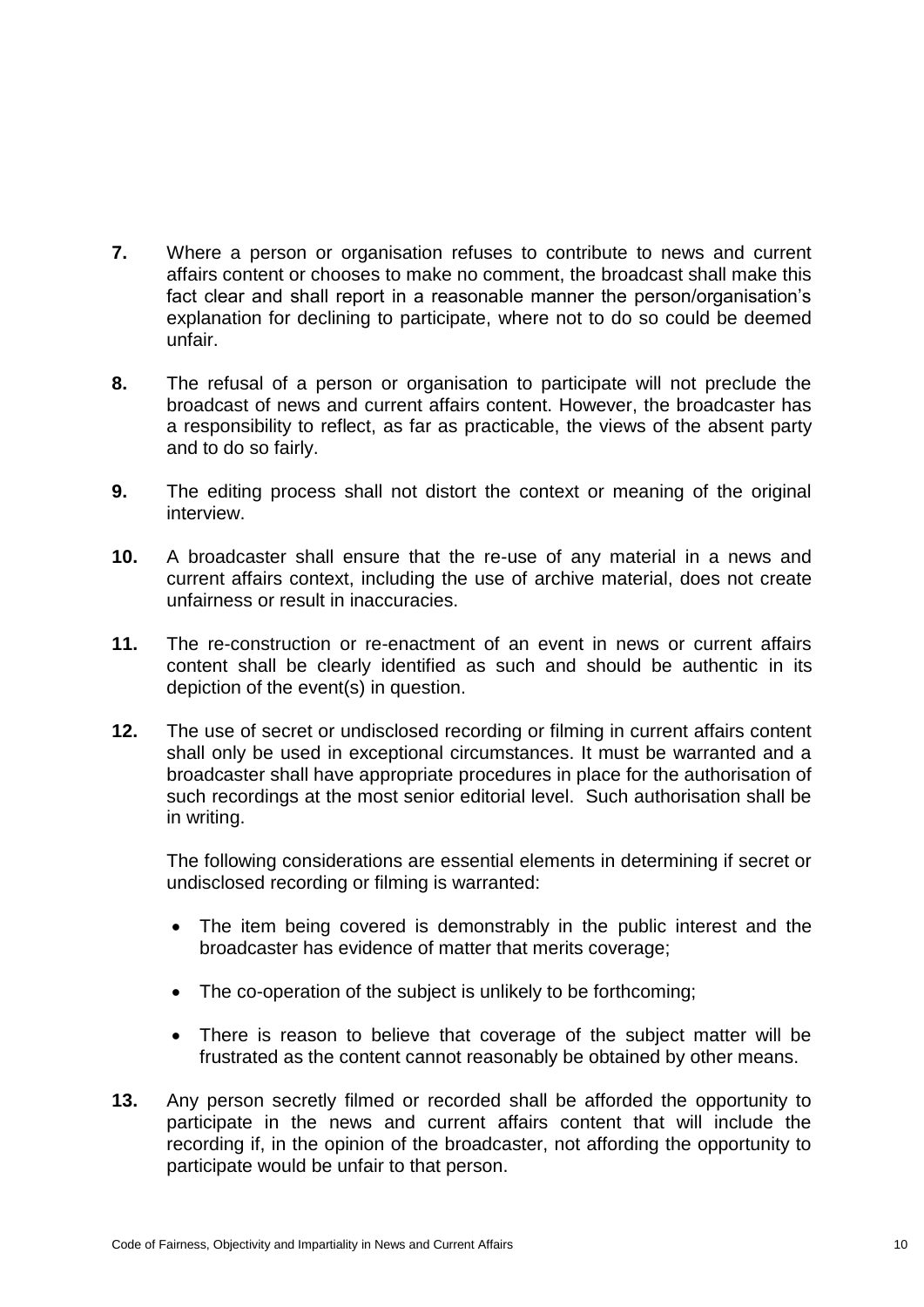- **7.** Where a person or organisation refuses to contribute to news and current affairs content or chooses to make no comment, the broadcast shall make this fact clear and shall report in a reasonable manner the person/organisation's explanation for declining to participate, where not to do so could be deemed unfair.
- **8.** The refusal of a person or organisation to participate will not preclude the broadcast of news and current affairs content. However, the broadcaster has a responsibility to reflect, as far as practicable, the views of the absent party and to do so fairly.
- **9.** The editing process shall not distort the context or meaning of the original interview.
- **10.** A broadcaster shall ensure that the re-use of any material in a news and current affairs context, including the use of archive material, does not create unfairness or result in inaccuracies.
- **11.** The re-construction or re-enactment of an event in news or current affairs content shall be clearly identified as such and should be authentic in its depiction of the event(s) in question.
- **12.** The use of secret or undisclosed recording or filming in current affairs content shall only be used in exceptional circumstances. It must be warranted and a broadcaster shall have appropriate procedures in place for the authorisation of such recordings at the most senior editorial level. Such authorisation shall be in writing.

The following considerations are essential elements in determining if secret or undisclosed recording or filming is warranted:

- The item being covered is demonstrably in the public interest and the broadcaster has evidence of matter that merits coverage;
- The co-operation of the subject is unlikely to be forthcoming;
- There is reason to believe that coverage of the subject matter will be frustrated as the content cannot reasonably be obtained by other means.
- **13.** Any person secretly filmed or recorded shall be afforded the opportunity to participate in the news and current affairs content that will include the recording if, in the opinion of the broadcaster, not affording the opportunity to participate would be unfair to that person.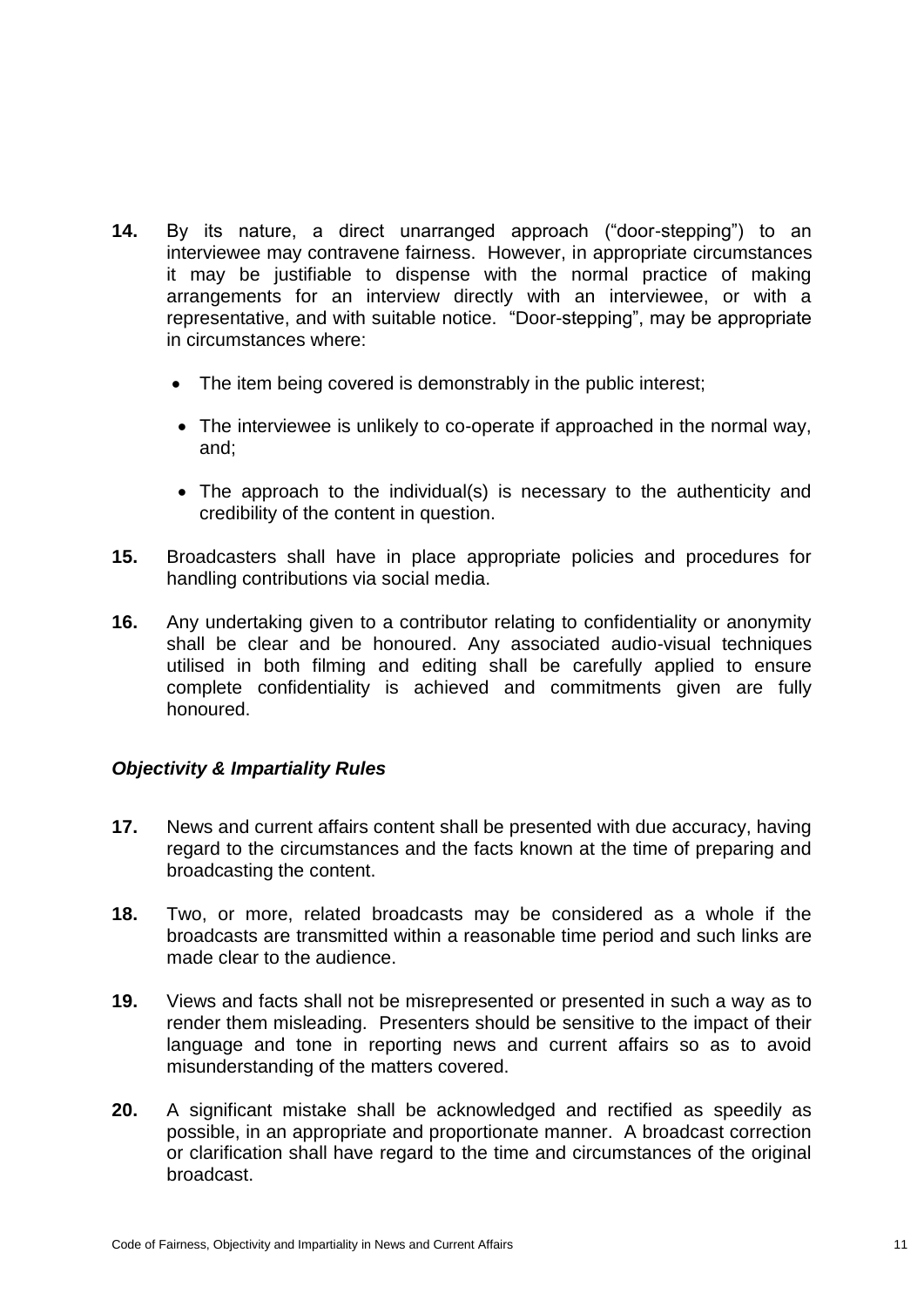- **14.** By its nature, a direct unarranged approach ("door-stepping") to an interviewee may contravene fairness. However, in appropriate circumstances it may be justifiable to dispense with the normal practice of making arrangements for an interview directly with an interviewee, or with a representative, and with suitable notice. "Door-stepping", may be appropriate in circumstances where:
	- The item being covered is demonstrably in the public interest;
	- The interviewee is unlikely to co-operate if approached in the normal way, and;
	- The approach to the individual(s) is necessary to the authenticity and credibility of the content in question.
- **15.** Broadcasters shall have in place appropriate policies and procedures for handling contributions via social media.
- **16.** Any undertaking given to a contributor relating to confidentiality or anonymity shall be clear and be honoured. Any associated audio-visual techniques utilised in both filming and editing shall be carefully applied to ensure complete confidentiality is achieved and commitments given are fully honoured.

## *Objectivity & Impartiality Rules*

- **17.** News and current affairs content shall be presented with due accuracy, having regard to the circumstances and the facts known at the time of preparing and broadcasting the content.
- **18.** Two, or more, related broadcasts may be considered as a whole if the broadcasts are transmitted within a reasonable time period and such links are made clear to the audience.
- **19.** Views and facts shall not be misrepresented or presented in such a way as to render them misleading. Presenters should be sensitive to the impact of their language and tone in reporting news and current affairs so as to avoid misunderstanding of the matters covered.
- **20.** A significant mistake shall be acknowledged and rectified as speedily as possible, in an appropriate and proportionate manner. A broadcast correction or clarification shall have regard to the time and circumstances of the original broadcast.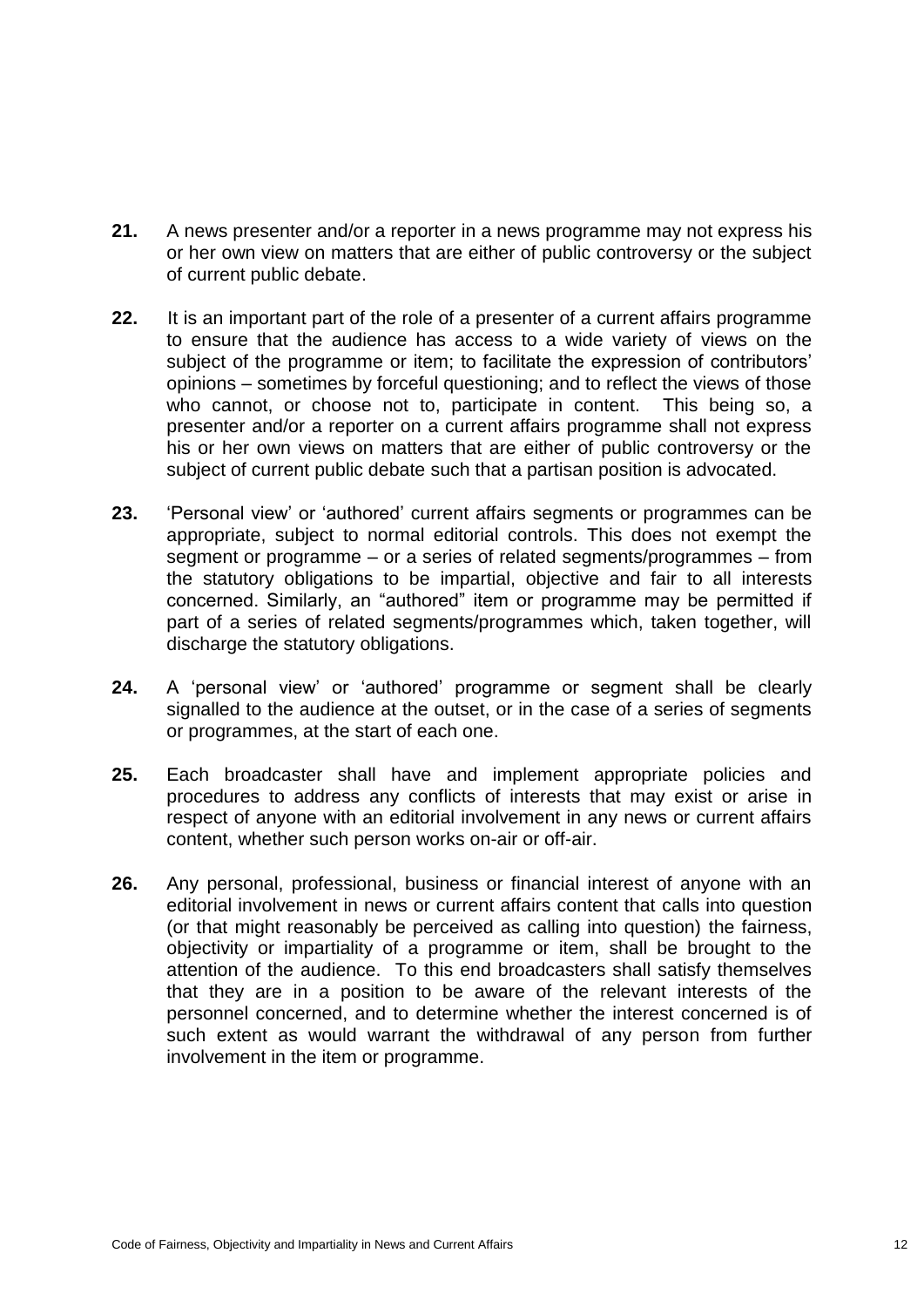- **21.** A news presenter and/or a reporter in a news programme may not express his or her own view on matters that are either of public controversy or the subject of current public debate.
- **22.** It is an important part of the role of a presenter of a current affairs programme to ensure that the audience has access to a wide variety of views on the subject of the programme or item; to facilitate the expression of contributors' opinions – sometimes by forceful questioning; and to reflect the views of those who cannot, or choose not to, participate in content. This being so, a presenter and/or a reporter on a current affairs programme shall not express his or her own views on matters that are either of public controversy or the subject of current public debate such that a partisan position is advocated.
- **23.** ‗Personal view' or ‗authored' current affairs segments or programmes can be appropriate, subject to normal editorial controls. This does not exempt the segment or programme – or a series of related segments/programmes – from the statutory obligations to be impartial, objective and fair to all interests concerned. Similarly, an "authored" item or programme may be permitted if part of a series of related segments/programmes which, taken together, will discharge the statutory obligations.
- 24. A 'personal view' or 'authored' programme or segment shall be clearly signalled to the audience at the outset, or in the case of a series of segments or programmes, at the start of each one.
- **25.** Each broadcaster shall have and implement appropriate policies and procedures to address any conflicts of interests that may exist or arise in respect of anyone with an editorial involvement in any news or current affairs content, whether such person works on-air or off-air.
- **26.** Any personal, professional, business or financial interest of anyone with an editorial involvement in news or current affairs content that calls into question (or that might reasonably be perceived as calling into question) the fairness, objectivity or impartiality of a programme or item, shall be brought to the attention of the audience. To this end broadcasters shall satisfy themselves that they are in a position to be aware of the relevant interests of the personnel concerned, and to determine whether the interest concerned is of such extent as would warrant the withdrawal of any person from further involvement in the item or programme.